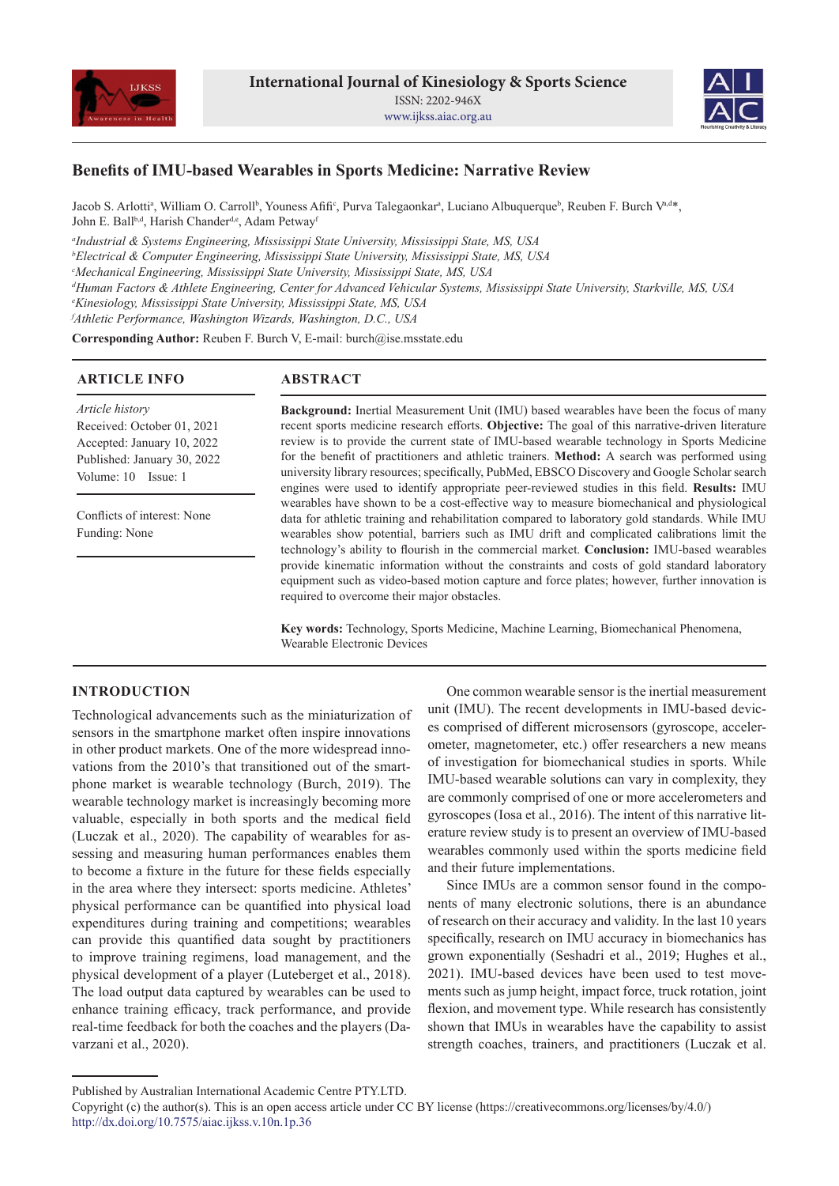



# **Benefits of IMU-based Wearables in Sports Medicine: Narrative Review**

Jacob S. Arlottiª, William O. Carroll<sup>b</sup>, Youness Afifi°, Purva Talegaonkarª, Luciano Albuquerque<sup>b</sup>, Reuben F. Burch Vªd\*, John E. Ball<sup>b,d</sup>, Harish Chander<sup>d,e</sup>, Adam Petway<sup>f</sup>

*a Industrial & Systems Engineering, Mississippi State University, Mississippi State, MS, USA*

*b Electrical & Computer Engineering, Mississippi State University, Mississippi State, MS, USA*

*c Mechanical Engineering, Mississippi State University, Mississippi State, MS, USA*

*d Human Factors & Athlete Engineering, Center for Advanced Vehicular Systems, Mississippi State University, Starkville, MS, USA*

*e Kinesiology, Mississippi State University, Mississippi State, MS, USA*

*f Athletic Performance, Washington Wizards, Washington, D.C., USA*

**Corresponding Author:** Reuben F. Burch V, E-mail: burch@ise.msstate.edu

## **ARTICLE INFO**

## **ABSTRACT**

*Article history* Received: October 01, 2021 Accepted: January 10, 2022 Published: January 30, 2022 Volume: 10 Issue: 1

Conflicts of interest: None Funding: None

**Background:** Inertial Measurement Unit (IMU) based wearables have been the focus of many recent sports medicine research efforts. **Objective:** The goal of this narrative-driven literature review is to provide the current state of IMU-based wearable technology in Sports Medicine for the benefit of practitioners and athletic trainers. **Method:** A search was performed using university library resources; specifically, PubMed, EBSCO Discovery and Google Scholar search engines were used to identify appropriate peer-reviewed studies in this field. **Results:** IMU wearables have shown to be a cost-effective way to measure biomechanical and physiological data for athletic training and rehabilitation compared to laboratory gold standards. While IMU wearables show potential, barriers such as IMU drift and complicated calibrations limit the technology's ability to flourish in the commercial market. **Conclusion:** IMU-based wearables provide kinematic information without the constraints and costs of gold standard laboratory equipment such as video-based motion capture and force plates; however, further innovation is required to overcome their major obstacles.

**Key words:** Technology, Sports Medicine, Machine Learning, Biomechanical Phenomena, Wearable Electronic Devices

## **INTRODUCTION**

Technological advancements such as the miniaturization of sensors in the smartphone market often inspire innovations in other product markets. One of the more widespread innovations from the 2010's that transitioned out of the smartphone market is wearable technology (Burch, 2019). The wearable technology market is increasingly becoming more valuable, especially in both sports and the medical field (Luczak et al., 2020). The capability of wearables for assessing and measuring human performances enables them to become a fixture in the future for these fields especially in the area where they intersect: sports medicine. Athletes' physical performance can be quantified into physical load expenditures during training and competitions; wearables can provide this quantified data sought by practitioners to improve training regimens, load management, and the physical development of a player (Luteberget et al., 2018). The load output data captured by wearables can be used to enhance training efficacy, track performance, and provide real-time feedback for both the coaches and the players (Davarzani et al., 2020).

One common wearable sensor is the inertial measurement unit (IMU). The recent developments in IMU-based devices comprised of different microsensors (gyroscope, accelerometer, magnetometer, etc.) offer researchers a new means of investigation for biomechanical studies in sports. While IMU-based wearable solutions can vary in complexity, they are commonly comprised of one or more accelerometers and gyroscopes (Iosa et al., 2016). The intent of this narrative literature review study is to present an overview of IMU-based wearables commonly used within the sports medicine field and their future implementations.

Since IMUs are a common sensor found in the components of many electronic solutions, there is an abundance of research on their accuracy and validity. In the last 10 years specifically, research on IMU accuracy in biomechanics has grown exponentially (Seshadri et al., 2019; Hughes et al., 2021). IMU-based devices have been used to test movements such as jump height, impact force, truck rotation, joint flexion, and movement type. While research has consistently shown that IMUs in wearables have the capability to assist strength coaches, trainers, and practitioners (Luczak et al.

Published by Australian International Academic Centre PTY.LTD.

Copyright (c) the author(s). This is an open access article under CC BY license (https://creativecommons.org/licenses/by/4.0/) http://dx.doi.org/10.7575/aiac.ijkss.v.10n.1p.36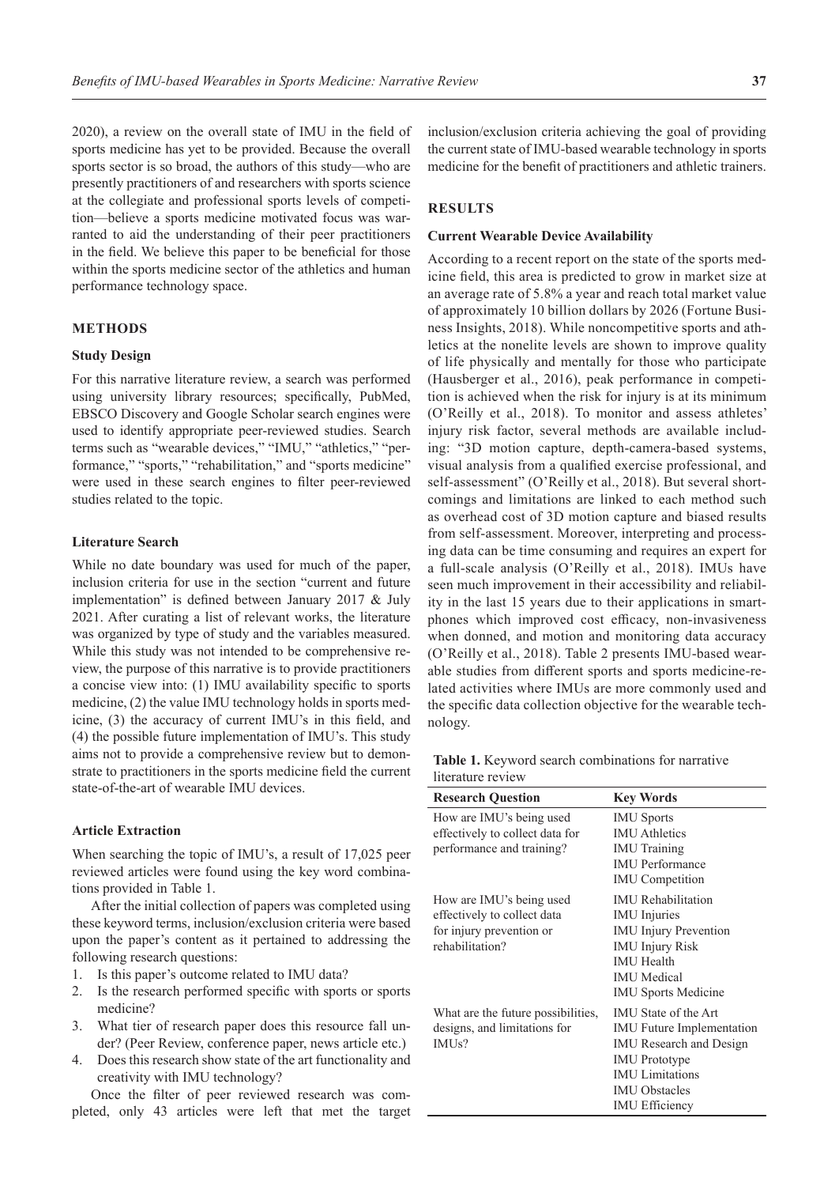2020), a review on the overall state of IMU in the field of sports medicine has yet to be provided. Because the overall sports sector is so broad, the authors of this study—who are presently practitioners of and researchers with sports science at the collegiate and professional sports levels of competition—believe a sports medicine motivated focus was warranted to aid the understanding of their peer practitioners in the field. We believe this paper to be beneficial for those within the sports medicine sector of the athletics and human performance technology space.

## **METHODS**

### **Study Design**

For this narrative literature review, a search was performed using university library resources; specifically, PubMed, EBSCO Discovery and Google Scholar search engines were used to identify appropriate peer-reviewed studies. Search terms such as "wearable devices," "IMU," "athletics," "performance," "sports," "rehabilitation," and "sports medicine" were used in these search engines to filter peer-reviewed studies related to the topic.

#### **Literature Search**

While no date boundary was used for much of the paper, inclusion criteria for use in the section "current and future implementation" is defined between January 2017 & July 2021. After curating a list of relevant works, the literature was organized by type of study and the variables measured. While this study was not intended to be comprehensive review, the purpose of this narrative is to provide practitioners a concise view into: (1) IMU availability specific to sports medicine, (2) the value IMU technology holds in sports medicine, (3) the accuracy of current IMU's in this field, and (4) the possible future implementation of IMU's. This study aims not to provide a comprehensive review but to demonstrate to practitioners in the sports medicine field the current state-of-the-art of wearable IMU devices.

#### **Article Extraction**

When searching the topic of IMU's, a result of 17,025 peer reviewed articles were found using the key word combinations provided in Table 1.

After the initial collection of papers was completed using these keyword terms, inclusion/exclusion criteria were based upon the paper's content as it pertained to addressing the following research questions:

- 1. Is this paper's outcome related to IMU data?
- 2. Is the research performed specific with sports or sports medicine?
- 3. What tier of research paper does this resource fall under? (Peer Review, conference paper, news article etc.)
- 4. Does this research show state of the art functionality and creativity with IMU technology?

Once the filter of peer reviewed research was completed, only 43 articles were left that met the target inclusion/exclusion criteria achieving the goal of providing the current state of IMU-based wearable technology in sports medicine for the benefit of practitioners and athletic trainers.

#### **RESULTS**

#### **Current Wearable Device Availability**

According to a recent report on the state of the sports medicine field, this area is predicted to grow in market size at an average rate of 5.8% a year and reach total market value of approximately 10 billion dollars by 2026 (Fortune Business Insights, 2018). While noncompetitive sports and athletics at the nonelite levels are shown to improve quality of life physically and mentally for those who participate (Hausberger et al., 2016), peak performance in competition is achieved when the risk for injury is at its minimum (O'Reilly et al., 2018). To monitor and assess athletes' injury risk factor, several methods are available including: "3D motion capture, depth-camera-based systems, visual analysis from a qualified exercise professional, and self-assessment" (O'Reilly et al., 2018). But several shortcomings and limitations are linked to each method such as overhead cost of 3D motion capture and biased results from self-assessment. Moreover, interpreting and processing data can be time consuming and requires an expert for a full-scale analysis (O'Reilly et al., 2018). IMUs have seen much improvement in their accessibility and reliability in the last 15 years due to their applications in smartphones which improved cost efficacy, non-invasiveness when donned, and motion and monitoring data accuracy (O'Reilly et al., 2018). Table 2 presents IMU-based wearable studies from different sports and sports medicine-related activities where IMUs are more commonly used and the specific data collection objective for the wearable technology.

**Table 1.** Keyword search combinations for narrative literature review

| <b>Research Question</b>                                                                               | <b>Key Words</b>                                                                                                                                                                                     |
|--------------------------------------------------------------------------------------------------------|------------------------------------------------------------------------------------------------------------------------------------------------------------------------------------------------------|
| How are IMU's being used<br>effectively to collect data for<br>performance and training?               | <b>IMU</b> Sports<br><b>IMU</b> Athletics<br><b>IMU</b> Training<br><b>IMU</b> Performance<br><b>IMU</b> Competition                                                                                 |
| How are IMU's being used<br>effectively to collect data<br>for injury prevention or<br>rehabilitation? | <b>IMU</b> Rehabilitation<br><b>IMU</b> Injuries<br><b>IMU</b> Injury Prevention<br><b>IMU Injury Risk</b><br><b>IMU</b> Health<br><b>IMU</b> Medical<br><b>IMU Sports Medicine</b>                  |
| What are the future possibilities,<br>designs, and limitations for<br>IMUs?                            | <b>IMU</b> State of the Art<br><b>IMU</b> Future Implementation<br><b>IMU</b> Research and Design<br><b>IMU</b> Prototype<br><b>IMU</b> Limitations<br><b>IMU Obstacles</b><br><b>IMU</b> Efficiency |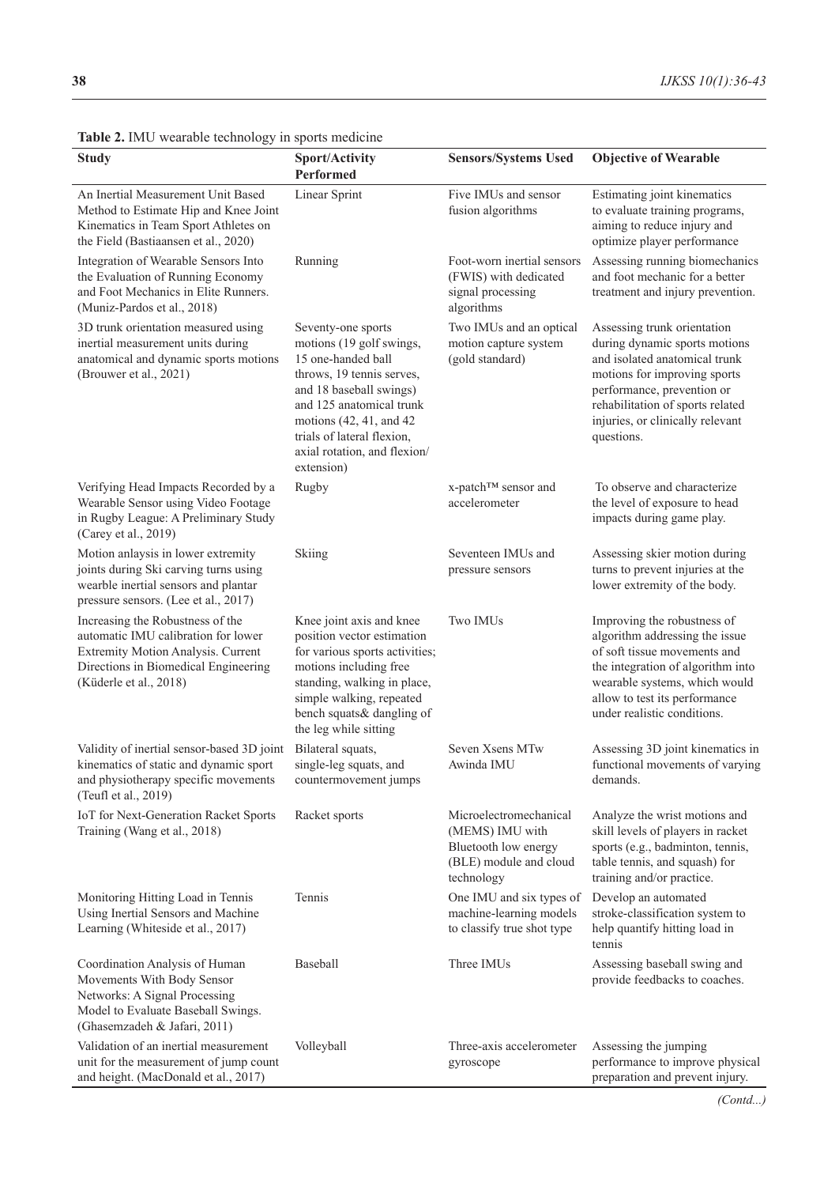| <b>Study</b>                                                                                                                                                                    | <b>Sport/Activity</b><br>Performed                                                                                                                                                                                                                              | <b>Sensors/Systems Used</b>                                                                               | <b>Objective of Wearable</b>                                                                                                                                                                                                                      |
|---------------------------------------------------------------------------------------------------------------------------------------------------------------------------------|-----------------------------------------------------------------------------------------------------------------------------------------------------------------------------------------------------------------------------------------------------------------|-----------------------------------------------------------------------------------------------------------|---------------------------------------------------------------------------------------------------------------------------------------------------------------------------------------------------------------------------------------------------|
| An Inertial Measurement Unit Based<br>Method to Estimate Hip and Knee Joint<br>Kinematics in Team Sport Athletes on<br>the Field (Bastiaansen et al., 2020)                     | <b>Linear Sprint</b>                                                                                                                                                                                                                                            | Five IMUs and sensor<br>fusion algorithms                                                                 | Estimating joint kinematics<br>to evaluate training programs,<br>aiming to reduce injury and<br>optimize player performance                                                                                                                       |
| Integration of Wearable Sensors Into<br>the Evaluation of Running Economy<br>and Foot Mechanics in Elite Runners.<br>(Muniz-Pardos et al., 2018)                                | Running                                                                                                                                                                                                                                                         | Foot-worn inertial sensors<br>(FWIS) with dedicated<br>signal processing<br>algorithms                    | Assessing running biomechanics<br>and foot mechanic for a better<br>treatment and injury prevention.                                                                                                                                              |
| 3D trunk orientation measured using<br>inertial measurement units during<br>anatomical and dynamic sports motions<br>(Brouwer et al., 2021)                                     | Seventy-one sports<br>motions (19 golf swings,<br>15 one-handed ball<br>throws, 19 tennis serves,<br>and 18 baseball swings)<br>and 125 anatomical trunk<br>motions (42, 41, and 42<br>trials of lateral flexion,<br>axial rotation, and flexion/<br>extension) | Two IMUs and an optical<br>motion capture system<br>(gold standard)                                       | Assessing trunk orientation<br>during dynamic sports motions<br>and isolated anatomical trunk<br>motions for improving sports<br>performance, prevention or<br>rehabilitation of sports related<br>injuries, or clinically relevant<br>questions. |
| Verifying Head Impacts Recorded by a<br>Wearable Sensor using Video Footage<br>in Rugby League: A Preliminary Study<br>(Carey et al., 2019)                                     | Rugby                                                                                                                                                                                                                                                           | x-patch™ sensor and<br>accelerometer                                                                      | To observe and characterize<br>the level of exposure to head<br>impacts during game play.                                                                                                                                                         |
| Motion anlaysis in lower extremity<br>joints during Ski carving turns using<br>wearble inertial sensors and plantar<br>pressure sensors. (Lee et al., 2017)                     | Skiing                                                                                                                                                                                                                                                          | Seventeen IMUs and<br>pressure sensors                                                                    | Assessing skier motion during<br>turns to prevent injuries at the<br>lower extremity of the body.                                                                                                                                                 |
| Increasing the Robustness of the<br>automatic IMU calibration for lower<br>Extremity Motion Analysis. Current<br>Directions in Biomedical Engineering<br>(Küderle et al., 2018) | Knee joint axis and knee<br>position vector estimation<br>for various sports activities;<br>motions including free<br>standing, walking in place,<br>simple walking, repeated<br>bench squats& dangling of<br>the leg while sitting                             | Two IMUs                                                                                                  | Improving the robustness of<br>algorithm addressing the issue<br>of soft tissue movements and<br>the integration of algorithm into<br>wearable systems, which would<br>allow to test its performance<br>under realistic conditions.               |
| Validity of inertial sensor-based 3D joint<br>kinematics of static and dynamic sport<br>and physiotherapy specific movements<br>(Teufl et al., 2019)                            | Bilateral squats,<br>single-leg squats, and<br>countermovement jumps                                                                                                                                                                                            | Seven Xsens MTw<br>Awinda IMU                                                                             | Assessing 3D joint kinematics in<br>functional movements of varying<br>demands.                                                                                                                                                                   |
| IoT for Next-Generation Racket Sports<br>Training (Wang et al., 2018)                                                                                                           | Racket sports                                                                                                                                                                                                                                                   | Microelectromechanical<br>(MEMS) IMU with<br>Bluetooth low energy<br>(BLE) module and cloud<br>technology | Analyze the wrist motions and<br>skill levels of players in racket<br>sports (e.g., badminton, tennis,<br>table tennis, and squash) for<br>training and/or practice.                                                                              |
| Monitoring Hitting Load in Tennis<br>Using Inertial Sensors and Machine<br>Learning (Whiteside et al., 2017)                                                                    | Tennis                                                                                                                                                                                                                                                          | One IMU and six types of<br>machine-learning models<br>to classify true shot type                         | Develop an automated<br>stroke-classification system to<br>help quantify hitting load in<br>tennis                                                                                                                                                |
| Coordination Analysis of Human<br>Movements With Body Sensor<br>Networks: A Signal Processing<br>Model to Evaluate Baseball Swings.<br>(Ghasemzadeh & Jafari, 2011)             | Baseball                                                                                                                                                                                                                                                        | Three IMUs                                                                                                | Assessing baseball swing and<br>provide feedbacks to coaches.                                                                                                                                                                                     |
| Validation of an inertial measurement<br>unit for the measurement of jump count<br>and height. (MacDonald et al., 2017)                                                         | Volleyball                                                                                                                                                                                                                                                      | Three-axis accelerometer<br>gyroscope                                                                     | Assessing the jumping<br>performance to improve physical<br>preparation and prevent injury.                                                                                                                                                       |

**Table 2.** IMU wearable technology in sports medicine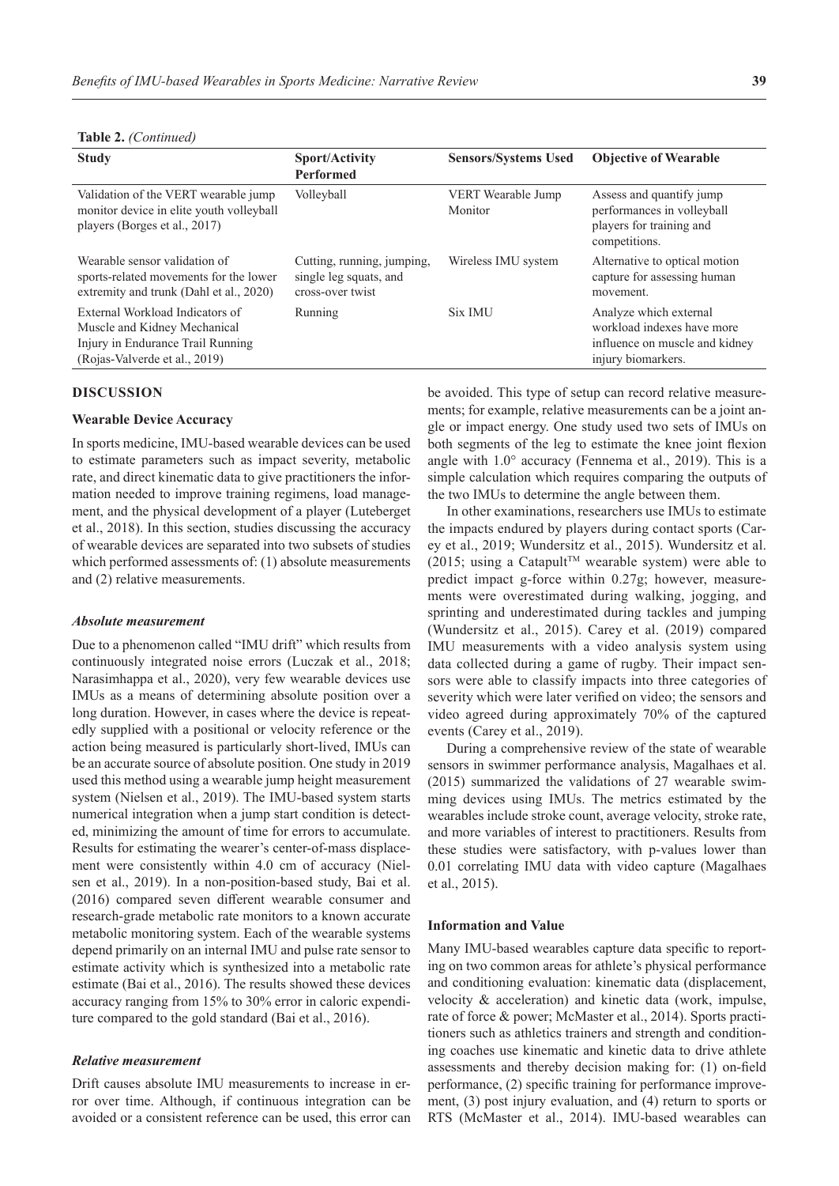| <b>Study</b>                                                                                                                          | <b>Sport/Activity</b><br><b>Performed</b>                                | <b>Sensors/Systems Used</b>   | <b>Objective of Wearable</b>                                                                                 |
|---------------------------------------------------------------------------------------------------------------------------------------|--------------------------------------------------------------------------|-------------------------------|--------------------------------------------------------------------------------------------------------------|
| Validation of the VERT wearable jump<br>monitor device in elite youth volleyball<br>players (Borges et al., 2017)                     | Volleyball                                                               | VERT Wearable Jump<br>Monitor | Assess and quantify jump<br>performances in volleyball<br>players for training and<br>competitions.          |
| Wearable sensor validation of<br>sports-related movements for the lower<br>extremity and trunk (Dahl et al., 2020)                    | Cutting, running, jumping,<br>single leg squats, and<br>cross-over twist | Wireless IMU system           | Alternative to optical motion<br>capture for assessing human<br>movement.                                    |
| External Workload Indicators of<br>Muscle and Kidney Mechanical<br>Injury in Endurance Trail Running<br>(Rojas-Valverde et al., 2019) | Running                                                                  | Six IMU                       | Analyze which external<br>workload indexes have more<br>influence on muscle and kidney<br>injury biomarkers. |

## **Table 2.** *(Continued)*

## **DISCUSSION**

## **Wearable Device Accuracy**

In sports medicine, IMU-based wearable devices can be used to estimate parameters such as impact severity, metabolic rate, and direct kinematic data to give practitioners the information needed to improve training regimens, load management, and the physical development of a player (Luteberget et al., 2018). In this section, studies discussing the accuracy of wearable devices are separated into two subsets of studies which performed assessments of: (1) absolute measurements and (2) relative measurements.

#### *Absolute measurement*

Due to a phenomenon called "IMU drift" which results from continuously integrated noise errors (Luczak et al., 2018; Narasimhappa et al., 2020), very few wearable devices use IMUs as a means of determining absolute position over a long duration. However, in cases where the device is repeatedly supplied with a positional or velocity reference or the action being measured is particularly short-lived, IMUs can be an accurate source of absolute position. One study in 2019 used this method using a wearable jump height measurement system (Nielsen et al., 2019). The IMU-based system starts numerical integration when a jump start condition is detected, minimizing the amount of time for errors to accumulate. Results for estimating the wearer's center-of-mass displacement were consistently within 4.0 cm of accuracy (Nielsen et al., 2019). In a non-position-based study, Bai et al. (2016) compared seven different wearable consumer and research-grade metabolic rate monitors to a known accurate metabolic monitoring system. Each of the wearable systems depend primarily on an internal IMU and pulse rate sensor to estimate activity which is synthesized into a metabolic rate estimate (Bai et al., 2016). The results showed these devices accuracy ranging from 15% to 30% error in caloric expenditure compared to the gold standard (Bai et al., 2016).

## *Relative measurement*

Drift causes absolute IMU measurements to increase in error over time. Although, if continuous integration can be avoided or a consistent reference can be used, this error can be avoided. This type of setup can record relative measurements; for example, relative measurements can be a joint angle or impact energy. One study used two sets of IMUs on both segments of the leg to estimate the knee joint flexion angle with 1.0° accuracy (Fennema et al., 2019). This is a simple calculation which requires comparing the outputs of the two IMUs to determine the angle between them.

In other examinations, researchers use IMUs to estimate the impacts endured by players during contact sports (Carey et al., 2019; Wundersitz et al., 2015). Wundersitz et al. (2015; using a Catapult<sup>™</sup> wearable system) were able to predict impact g-force within 0.27g; however, measurements were overestimated during walking, jogging, and sprinting and underestimated during tackles and jumping (Wundersitz et al., 2015). Carey et al. (2019) compared IMU measurements with a video analysis system using data collected during a game of rugby. Their impact sensors were able to classify impacts into three categories of severity which were later verified on video; the sensors and video agreed during approximately 70% of the captured events (Carey et al., 2019).

During a comprehensive review of the state of wearable sensors in swimmer performance analysis, Magalhaes et al. (2015) summarized the validations of 27 wearable swimming devices using IMUs. The metrics estimated by the wearables include stroke count, average velocity, stroke rate, and more variables of interest to practitioners. Results from these studies were satisfactory, with p-values lower than 0.01 correlating IMU data with video capture (Magalhaes et al., 2015).

#### **Information and Value**

Many IMU-based wearables capture data specific to reporting on two common areas for athlete's physical performance and conditioning evaluation: kinematic data (displacement, velocity & acceleration) and kinetic data (work, impulse, rate of force & power; McMaster et al., 2014). Sports practitioners such as athletics trainers and strength and conditioning coaches use kinematic and kinetic data to drive athlete assessments and thereby decision making for: (1) on-field performance, (2) specific training for performance improvement, (3) post injury evaluation, and (4) return to sports or RTS (McMaster et al., 2014). IMU-based wearables can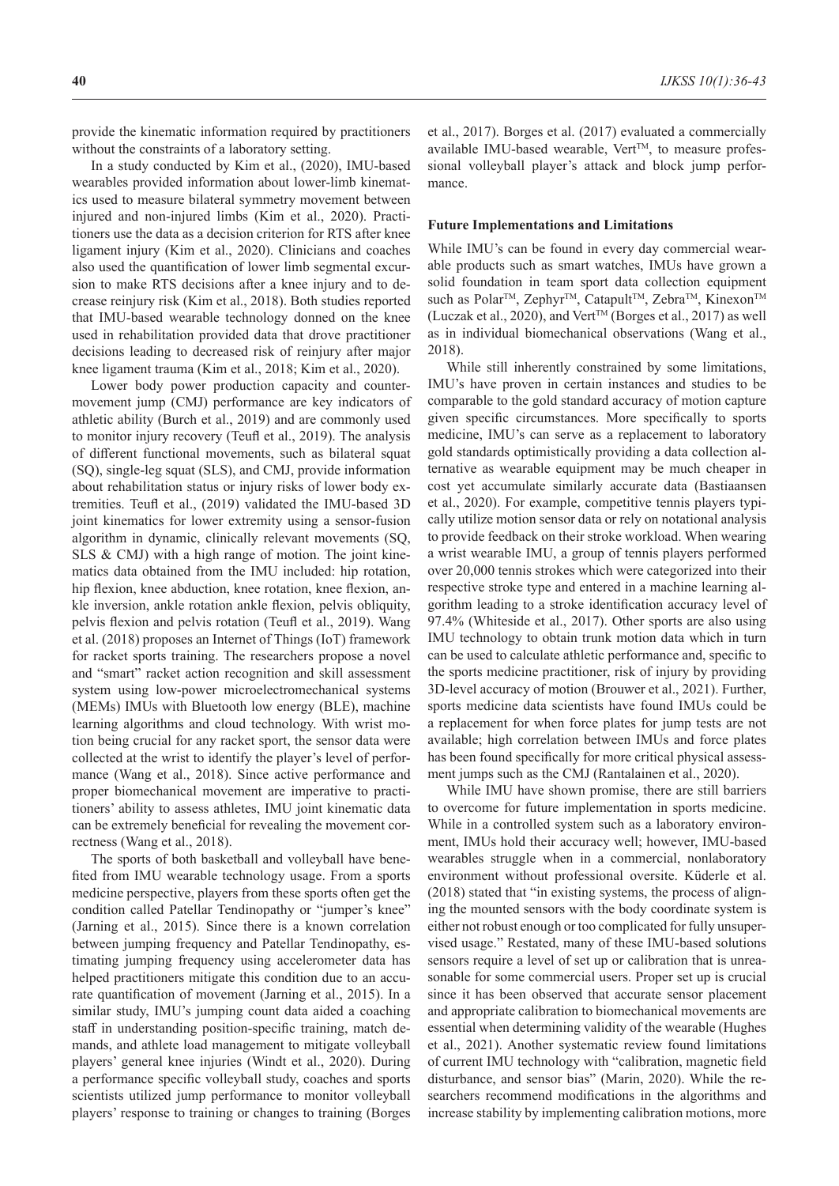provide the kinematic information required by practitioners without the constraints of a laboratory setting.

In a study conducted by Kim et al., (2020), IMU-based wearables provided information about lower-limb kinematics used to measure bilateral symmetry movement between injured and non-injured limbs (Kim et al., 2020). Practitioners use the data as a decision criterion for RTS after knee ligament injury (Kim et al., 2020). Clinicians and coaches also used the quantification of lower limb segmental excursion to make RTS decisions after a knee injury and to decrease reinjury risk (Kim et al., 2018). Both studies reported that IMU-based wearable technology donned on the knee used in rehabilitation provided data that drove practitioner decisions leading to decreased risk of reinjury after major knee ligament trauma (Kim et al., 2018; Kim et al., 2020).

Lower body power production capacity and countermovement jump (CMJ) performance are key indicators of athletic ability (Burch et al., 2019) and are commonly used to monitor injury recovery (Teufl et al., 2019). The analysis of different functional movements, such as bilateral squat (SQ), single-leg squat (SLS), and CMJ, provide information about rehabilitation status or injury risks of lower body extremities. Teufl et al., (2019) validated the IMU-based 3D joint kinematics for lower extremity using a sensor-fusion algorithm in dynamic, clinically relevant movements (SQ, SLS & CMJ) with a high range of motion. The joint kinematics data obtained from the IMU included: hip rotation, hip flexion, knee abduction, knee rotation, knee flexion, ankle inversion, ankle rotation ankle flexion, pelvis obliquity, pelvis flexion and pelvis rotation (Teufl et al., 2019). Wang et al. (2018) proposes an Internet of Things (IoT) framework for racket sports training. The researchers propose a novel and "smart" racket action recognition and skill assessment system using low-power microelectromechanical systems (MEMs) IMUs with Bluetooth low energy (BLE), machine learning algorithms and cloud technology. With wrist motion being crucial for any racket sport, the sensor data were collected at the wrist to identify the player's level of performance (Wang et al., 2018). Since active performance and proper biomechanical movement are imperative to practitioners' ability to assess athletes, IMU joint kinematic data can be extremely beneficial for revealing the movement correctness (Wang et al., 2018).

The sports of both basketball and volleyball have benefited from IMU wearable technology usage. From a sports medicine perspective, players from these sports often get the condition called Patellar Tendinopathy or "jumper's knee" (Jarning et al., 2015). Since there is a known correlation between jumping frequency and Patellar Tendinopathy, estimating jumping frequency using accelerometer data has helped practitioners mitigate this condition due to an accurate quantification of movement (Jarning et al., 2015). In a similar study, IMU's jumping count data aided a coaching staff in understanding position-specific training, match demands, and athlete load management to mitigate volleyball players' general knee injuries (Windt et al., 2020). During a performance specific volleyball study, coaches and sports scientists utilized jump performance to monitor volleyball players' response to training or changes to training (Borges

et al., 2017). Borges et al. (2017) evaluated a commercially available IMU-based wearable,  $Vert^{\text{TM}}$ , to measure professional volleyball player's attack and block jump performance.

### **Future Implementations and Limitations**

While IMU's can be found in every day commercial wearable products such as smart watches, IMUs have grown a solid foundation in team sport data collection equipment such as Polar<sup>™</sup>, Zephyr<sup>™</sup>, Catapult<sup>™</sup>, Zebra<sup>™</sup>, Kinexon<sup>™</sup> (Luczak et al., 2020), and Vert<sup>TM</sup> (Borges et al., 2017) as well as in individual biomechanical observations (Wang et al., 2018).

While still inherently constrained by some limitations, IMU's have proven in certain instances and studies to be comparable to the gold standard accuracy of motion capture given specific circumstances. More specifically to sports medicine, IMU's can serve as a replacement to laboratory gold standards optimistically providing a data collection alternative as wearable equipment may be much cheaper in cost yet accumulate similarly accurate data (Bastiaansen et al., 2020). For example, competitive tennis players typically utilize motion sensor data or rely on notational analysis to provide feedback on their stroke workload. When wearing a wrist wearable IMU, a group of tennis players performed over 20,000 tennis strokes which were categorized into their respective stroke type and entered in a machine learning algorithm leading to a stroke identification accuracy level of 97.4% (Whiteside et al., 2017). Other sports are also using IMU technology to obtain trunk motion data which in turn can be used to calculate athletic performance and, specific to the sports medicine practitioner, risk of injury by providing 3D-level accuracy of motion (Brouwer et al., 2021). Further, sports medicine data scientists have found IMUs could be a replacement for when force plates for jump tests are not available; high correlation between IMUs and force plates has been found specifically for more critical physical assessment jumps such as the CMJ (Rantalainen et al., 2020).

While IMU have shown promise, there are still barriers to overcome for future implementation in sports medicine. While in a controlled system such as a laboratory environment, IMUs hold their accuracy well; however, IMU-based wearables struggle when in a commercial, nonlaboratory environment without professional oversite. Küderle et al. (2018) stated that "in existing systems, the process of aligning the mounted sensors with the body coordinate system is either not robust enough or too complicated for fully unsupervised usage." Restated, many of these IMU-based solutions sensors require a level of set up or calibration that is unreasonable for some commercial users. Proper set up is crucial since it has been observed that accurate sensor placement and appropriate calibration to biomechanical movements are essential when determining validity of the wearable (Hughes et al., 2021). Another systematic review found limitations of current IMU technology with "calibration, magnetic field disturbance, and sensor bias" (Marin, 2020). While the researchers recommend modifications in the algorithms and increase stability by implementing calibration motions, more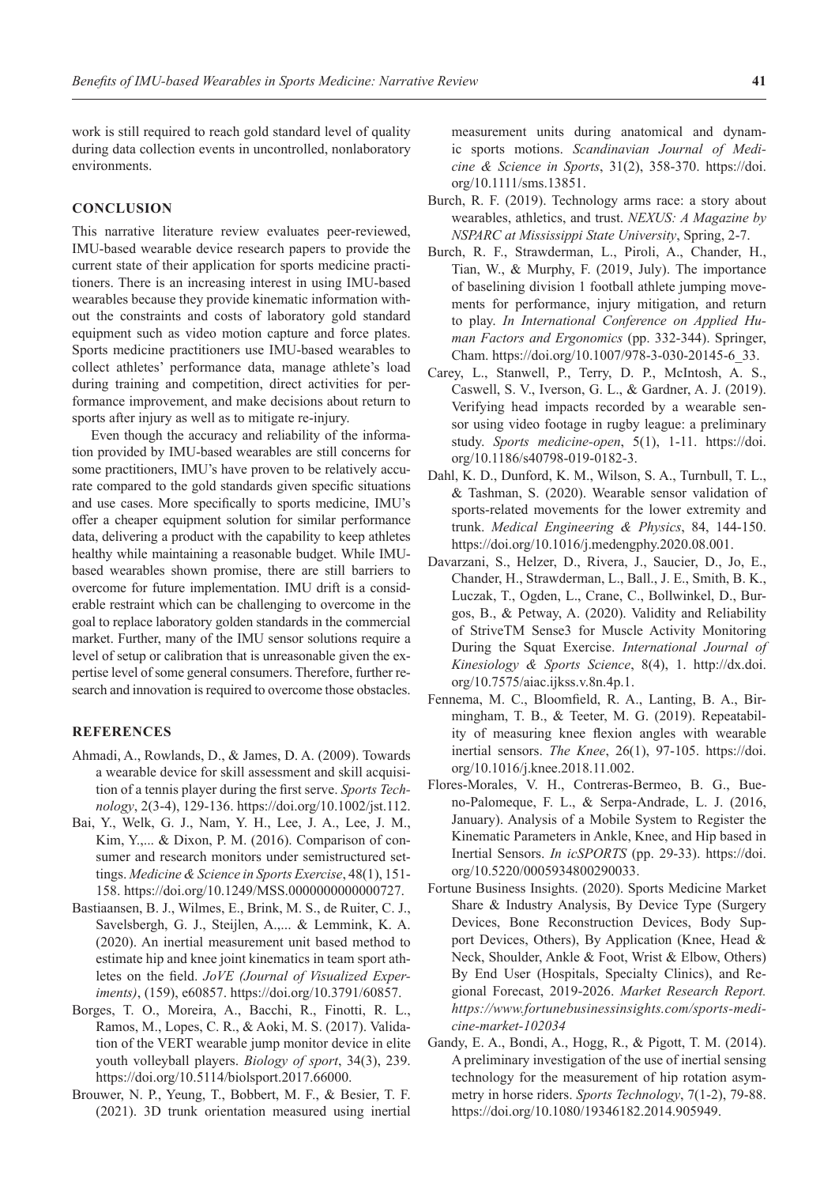work is still required to reach gold standard level of quality during data collection events in uncontrolled, nonlaboratory environments.

### **CONCLUSION**

This narrative literature review evaluates peer-reviewed, IMU-based wearable device research papers to provide the current state of their application for sports medicine practitioners. There is an increasing interest in using IMU-based wearables because they provide kinematic information without the constraints and costs of laboratory gold standard equipment such as video motion capture and force plates. Sports medicine practitioners use IMU-based wearables to collect athletes' performance data, manage athlete's load during training and competition, direct activities for performance improvement, and make decisions about return to sports after injury as well as to mitigate re-injury.

Even though the accuracy and reliability of the information provided by IMU-based wearables are still concerns for some practitioners, IMU's have proven to be relatively accurate compared to the gold standards given specific situations and use cases. More specifically to sports medicine, IMU's offer a cheaper equipment solution for similar performance data, delivering a product with the capability to keep athletes healthy while maintaining a reasonable budget. While IMUbased wearables shown promise, there are still barriers to overcome for future implementation. IMU drift is a considerable restraint which can be challenging to overcome in the goal to replace laboratory golden standards in the commercial market. Further, many of the IMU sensor solutions require a level of setup or calibration that is unreasonable given the expertise level of some general consumers. Therefore, further research and innovation is required to overcome those obstacles.

## **REFERENCES**

- Ahmadi, A., Rowlands, D., & James, D. A. (2009). Towards a wearable device for skill assessment and skill acquisition of a tennis player during the first serve. *Sports Technology*, 2(3-4), 129-136. https://doi.org/10.1002/jst.112.
- Bai, Y., Welk, G. J., Nam, Y. H., Lee, J. A., Lee, J. M., Kim, Y.,... & Dixon, P. M. (2016). Comparison of consumer and research monitors under semistructured settings. *Medicine & Science in Sports Exercise*, 48(1), 151- 158. https://doi.org/10.1249/MSS.0000000000000727.
- Bastiaansen, B. J., Wilmes, E., Brink, M. S., de Ruiter, C. J., Savelsbergh, G. J., Steijlen, A.,... & Lemmink, K. A. (2020). An inertial measurement unit based method to estimate hip and knee joint kinematics in team sport athletes on the field. *JoVE (Journal of Visualized Experiments)*, (159), e60857. https://doi.org/10.3791/60857.
- Borges, T. O., Moreira, A., Bacchi, R., Finotti, R. L., Ramos, M., Lopes, C. R., & Aoki, M. S. (2017). Validation of the VERT wearable jump monitor device in elite youth volleyball players. *Biology of sport*, 34(3), 239. https://doi.org/10.5114/biolsport.2017.66000.
- Brouwer, N. P., Yeung, T., Bobbert, M. F., & Besier, T. F. (2021). 3D trunk orientation measured using inertial

measurement units during anatomical and dynamic sports motions. *Scandinavian Journal of Medicine & Science in Sports*, 31(2), 358-370. https://doi. org/10.1111/sms.13851.

- Burch, R. F. (2019). Technology arms race: a story about wearables, athletics, and trust. *NEXUS: A Magazine by NSPARC at Mississippi State University*, Spring, 2-7.
- Burch, R. F., Strawderman, L., Piroli, A., Chander, H., Tian, W., & Murphy, F. (2019, July). The importance of baselining division 1 football athlete jumping movements for performance, injury mitigation, and return to play. *In International Conference on Applied Human Factors and Ergonomics* (pp. 332-344). Springer, Cham. https://doi.org/10.1007/978-3-030-20145-6\_33.
- Carey, L., Stanwell, P., Terry, D. P., McIntosh, A. S., Caswell, S. V., Iverson, G. L., & Gardner, A. J. (2019). Verifying head impacts recorded by a wearable sensor using video footage in rugby league: a preliminary study. *Sports medicine-open*, 5(1), 1-11. https://doi. org/10.1186/s40798-019-0182-3.
- Dahl, K. D., Dunford, K. M., Wilson, S. A., Turnbull, T. L., & Tashman, S. (2020). Wearable sensor validation of sports-related movements for the lower extremity and trunk. *Medical Engineering & Physics*, 84, 144-150. https://doi.org/10.1016/j.medengphy.2020.08.001.
- Davarzani, S., Helzer, D., Rivera, J., Saucier, D., Jo, E., Chander, H., Strawderman, L., Ball., J. E., Smith, B. K., Luczak, T., Ogden, L., Crane, C., Bollwinkel, D., Burgos, B., & Petway, A. (2020). Validity and Reliability of StriveTM Sense3 for Muscle Activity Monitoring During the Squat Exercise. *International Journal of Kinesiology & Sports Science*, 8(4), 1. http://dx.doi. org/10.7575/aiac.ijkss.v.8n.4p.1.
- Fennema, M. C., Bloomfield, R. A., Lanting, B. A., Birmingham, T. B., & Teeter, M. G. (2019). Repeatability of measuring knee flexion angles with wearable inertial sensors. *The Knee*, 26(1), 97-105. https://doi. org/10.1016/j.knee.2018.11.002.
- Flores-Morales, V. H., Contreras-Bermeo, B. G., Bueno-Palomeque, F. L., & Serpa-Andrade, L. J. (2016, January). Analysis of a Mobile System to Register the Kinematic Parameters in Ankle, Knee, and Hip based in Inertial Sensors. *In icSPORTS* (pp. 29-33). https://doi. org/10.5220/0005934800290033.
- Fortune Business Insights. (2020). Sports Medicine Market Share & Industry Analysis, By Device Type (Surgery Devices, Bone Reconstruction Devices, Body Support Devices, Others), By Application (Knee, Head & Neck, Shoulder, Ankle & Foot, Wrist & Elbow, Others) By End User (Hospitals, Specialty Clinics), and Regional Forecast, 2019-2026. *Market Research Report. https://www.fortunebusinessinsights.com/sports-medicine-market-102034*
- Gandy, E. A., Bondi, A., Hogg, R., & Pigott, T. M. (2014). A preliminary investigation of the use of inertial sensing technology for the measurement of hip rotation asymmetry in horse riders. *Sports Technology*, 7(1-2), 79-88. https://doi.org/10.1080/19346182.2014.905949.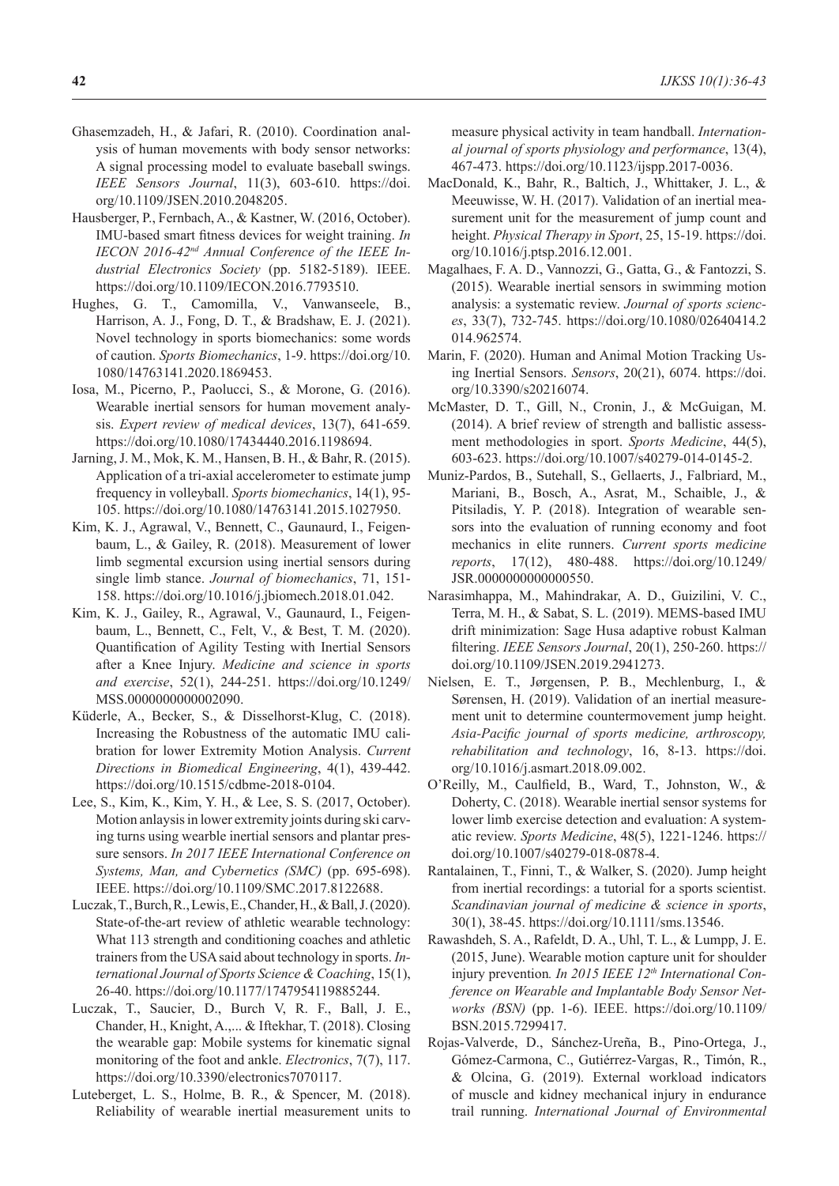- Ghasemzadeh, H., & Jafari, R. (2010). Coordination analysis of human movements with body sensor networks: A signal processing model to evaluate baseball swings. *IEEE Sensors Journal*, 11(3), 603-610. https://doi. org/10.1109/JSEN.2010.2048205.
- Hausberger, P., Fernbach, A., & Kastner, W. (2016, October). IMU-based smart fitness devices for weight training. *In IECON 2016-42nd Annual Conference of the IEEE Industrial Electronics Society* (pp. 5182-5189). IEEE. https://doi.org/10.1109/IECON.2016.7793510.
- Hughes, G. T., Camomilla, V., Vanwanseele, B., Harrison, A. J., Fong, D. T., & Bradshaw, E. J. (2021). Novel technology in sports biomechanics: some words of caution. *Sports Biomechanics*, 1-9. https://doi.org/10. 1080/14763141.2020.1869453.
- Iosa, M., Picerno, P., Paolucci, S., & Morone, G. (2016). Wearable inertial sensors for human movement analysis. *Expert review of medical devices*, 13(7), 641-659. https://doi.org/10.1080/17434440.2016.1198694.
- Jarning, J. M., Mok, K. M., Hansen, B. H., & Bahr, R. (2015). Application of a tri-axial accelerometer to estimate jump frequency in volleyball. *Sports biomechanics*, 14(1), 95- 105. https://doi.org/10.1080/14763141.2015.1027950.
- Kim, K. J., Agrawal, V., Bennett, C., Gaunaurd, I., Feigenbaum, L., & Gailey, R. (2018). Measurement of lower limb segmental excursion using inertial sensors during single limb stance. *Journal of biomechanics*, 71, 151- 158. https://doi.org/10.1016/j.jbiomech.2018.01.042.
- Kim, K. J., Gailey, R., Agrawal, V., Gaunaurd, I., Feigenbaum, L., Bennett, C., Felt, V., & Best, T. M. (2020). Quantification of Agility Testing with Inertial Sensors after a Knee Injury. *Medicine and science in sports and exercise*, 52(1), 244-251. https://doi.org/10.1249/ MSS.0000000000002090.
- Küderle, A., Becker, S., & Disselhorst-Klug, C. (2018). Increasing the Robustness of the automatic IMU calibration for lower Extremity Motion Analysis. *Current Directions in Biomedical Engineering*, 4(1), 439-442. https://doi.org/10.1515/cdbme-2018-0104.
- Lee, S., Kim, K., Kim, Y. H., & Lee, S. S. (2017, October). Motion anlaysis in lower extremity joints during ski carving turns using wearble inertial sensors and plantar pressure sensors. *In 2017 IEEE International Conference on Systems, Man, and Cybernetics (SMC)* (pp. 695-698). IEEE. https://doi.org/10.1109/SMC.2017.8122688.
- Luczak, T., Burch, R., Lewis, E., Chander, H., & Ball,J. (2020). State-of-the-art review of athletic wearable technology: What 113 strength and conditioning coaches and athletic trainers from the USA said about technology in sports. *International Journal of Sports Science & Coaching*, 15(1), 26-40. https://doi.org/10.1177/1747954119885244.
- Luczak, T., Saucier, D., Burch V, R. F., Ball, J. E., Chander, H., Knight, A.,... & Iftekhar, T. (2018). Closing the wearable gap: Mobile systems for kinematic signal monitoring of the foot and ankle. *Electronics*, 7(7), 117. https://doi.org/10.3390/electronics7070117.
- Luteberget, L. S., Holme, B. R., & Spencer, M. (2018). Reliability of wearable inertial measurement units to

measure physical activity in team handball. *International journal of sports physiology and performance*, 13(4), 467-473. https://doi.org/10.1123/ijspp.2017-0036.

- MacDonald, K., Bahr, R., Baltich, J., Whittaker, J. L., & Meeuwisse, W. H. (2017). Validation of an inertial measurement unit for the measurement of jump count and height. *Physical Therapy in Sport*, 25, 15-19. https://doi. org/10.1016/j.ptsp.2016.12.001.
- Magalhaes, F. A. D., Vannozzi, G., Gatta, G., & Fantozzi, S. (2015). Wearable inertial sensors in swimming motion analysis: a systematic review. *Journal of sports sciences*, 33(7), 732-745. https://doi.org/10.1080/02640414.2 014.962574.
- Marin, F. (2020). Human and Animal Motion Tracking Using Inertial Sensors. *Sensors*, 20(21), 6074. https://doi. org/10.3390/s20216074.
- McMaster, D. T., Gill, N., Cronin, J., & McGuigan, M. (2014). A brief review of strength and ballistic assessment methodologies in sport. *Sports Medicine*, 44(5), 603-623. https://doi.org/10.1007/s40279-014-0145-2.
- Muniz-Pardos, B., Sutehall, S., Gellaerts, J., Falbriard, M., Mariani, B., Bosch, A., Asrat, M., Schaible, J., & Pitsiladis, Y. P. (2018). Integration of wearable sensors into the evaluation of running economy and foot mechanics in elite runners. *Current sports medicine reports*, 17(12), 480-488. https://doi.org/10.1249/ JSR.0000000000000550.
- Narasimhappa, M., Mahindrakar, A. D., Guizilini, V. C., Terra, M. H., & Sabat, S. L. (2019). MEMS-based IMU drift minimization: Sage Husa adaptive robust Kalman filtering. *IEEE Sensors Journal*, 20(1), 250-260. https:// doi.org/10.1109/JSEN.2019.2941273.
- Nielsen, E. T., Jørgensen, P. B., Mechlenburg, I., & Sørensen, H. (2019). Validation of an inertial measurement unit to determine countermovement jump height. *Asia-Pacific journal of sports medicine, arthroscopy, rehabilitation and technology*, 16, 8-13. https://doi. org/10.1016/j.asmart.2018.09.002.
- O'Reilly, M., Caulfield, B., Ward, T., Johnston, W., & Doherty, C. (2018). Wearable inertial sensor systems for lower limb exercise detection and evaluation: A systematic review. *Sports Medicine*, 48(5), 1221-1246. https:// doi.org/10.1007/s40279-018-0878-4.
- Rantalainen, T., Finni, T., & Walker, S. (2020). Jump height from inertial recordings: a tutorial for a sports scientist. *Scandinavian journal of medicine & science in sports*, 30(1), 38-45. https://doi.org/10.1111/sms.13546.
- Rawashdeh, S. A., Rafeldt, D. A., Uhl, T. L., & Lumpp, J. E. (2015, June). Wearable motion capture unit for shoulder injury prevention*. In 2015 IEEE 12th International Conference on Wearable and Implantable Body Sensor Networks (BSN)* (pp. 1-6). IEEE. https://doi.org/10.1109/ BSN.2015.7299417.
- Rojas-Valverde, D., Sánchez-Ureña, B., Pino-Ortega, J., Gómez-Carmona, C., Gutiérrez-Vargas, R., Timón, R., & Olcina, G. (2019). External workload indicators of muscle and kidney mechanical injury in endurance trail running. *International Journal of Environmental*